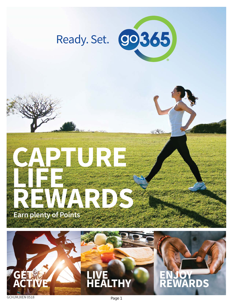

N XXV

# **CAPTURE LIFE** REWARDS **Earn plenty of Points**



**ENJOY REWARDS**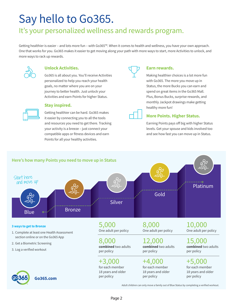## Say hello to Go365.

### It's your personalized wellness and rewards program.

Getting healthier is easier – and lots more fun – with Go365™. When it comes to health and wellness, you have your own approach. One that works for you. Go365 makes it easier to get moving along your path with more ways to start, more Activities to unlock, and more ways to rack up rewards.



#### **Unlock Activities.**

Go365 is all about you. You'll receive Activities personalized to help you reach your health goals, no matter where you are on your journey to better health. Just unlock your Activities and earn Points for higher Status.



#### **Stay inspired.**

Getting healthier can be hard. Go365 makes it easier by connecting you to all the tools and resources you need to get there. Tracking your activity is a breeze – just connect your compatible apps or fitness devices and earn Points for all your healthy activities.



#### **Earn rewards.**

Making healthier choices is a lot more fun with Go365. The more you move up in Status, the more Bucks you can earn and spend on great items in the Go365 Mall. Plus, Bonus Bucks, surprise rewards, and monthly Jackpot drawings make getting healthy more fun!



#### **More Points. Higher Status.**

Earning Points pays off big with higher Status levels. Get your spouse and kids involved too and see how fast you can move up in Status.



Adult children can only move a family out of Blue Status by completing a verified workout.